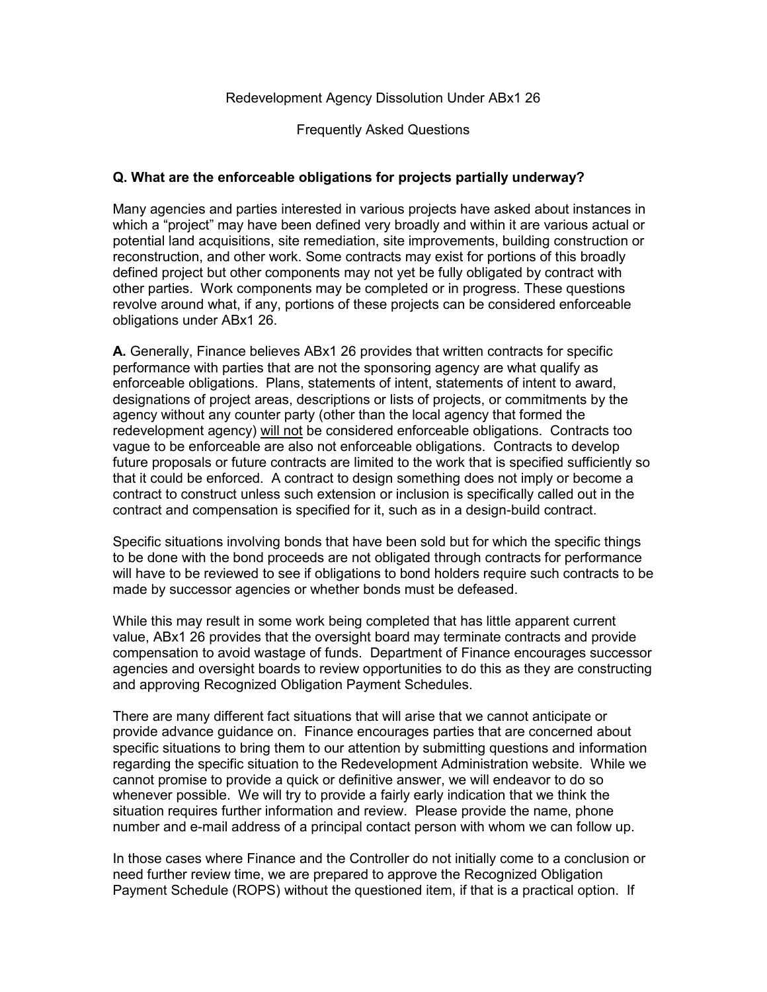Frequently Asked Questions

# **Q. What are the enforceable obligations for projects partially underway?**

Many agencies and parties interested in various projects have asked about instances in which a "project" may have been defined very broadly and within it are various actual or potential land acquisitions, site remediation, site improvements, building construction or reconstruction, and other work. Some contracts may exist for portions of this broadly defined project but other components may not yet be fully obligated by contract with other parties. Work components may be completed or in progress. These questions revolve around what, if any, portions of these projects can be considered enforceable obligations under ABx1 26.

**A.** Generally, Finance believes ABx1 26 provides that written contracts for specific performance with parties that are not the sponsoring agency are what qualify as enforceable obligations. Plans, statements of intent, statements of intent to award, designations of project areas, descriptions or lists of projects, or commitments by the agency without any counter party (other than the local agency that formed the redevelopment agency) will not be considered enforceable obligations. Contracts too vague to be enforceable are also not enforceable obligations. Contracts to develop future proposals or future contracts are limited to the work that is specified sufficiently so that it could be enforced. A contract to design something does not imply or become a contract to construct unless such extension or inclusion is specifically called out in the contract and compensation is specified for it, such as in a design-build contract.

Specific situations involving bonds that have been sold but for which the specific things to be done with the bond proceeds are not obligated through contracts for performance will have to be reviewed to see if obligations to bond holders require such contracts to be made by successor agencies or whether bonds must be defeased.

While this may result in some work being completed that has little apparent current value, ABx1 26 provides that the oversight board may terminate contracts and provide compensation to avoid wastage of funds. Department of Finance encourages successor agencies and oversight boards to review opportunities to do this as they are constructing and approving Recognized Obligation Payment Schedules.

There are many different fact situations that will arise that we cannot anticipate or provide advance guidance on. Finance encourages parties that are concerned about specific situations to bring them to our attention by submitting questions and information regarding the specific situation to the Redevelopment Administration website. While we cannot promise to provide a quick or definitive answer, we will endeavor to do so whenever possible. We will try to provide a fairly early indication that we think the situation requires further information and review. Please provide the name, phone number and e-mail address of a principal contact person with whom we can follow up.

In those cases where Finance and the Controller do not initially come to a conclusion or need further review time, we are prepared to approve the Recognized Obligation Payment Schedule (ROPS) without the questioned item, if that is a practical option. If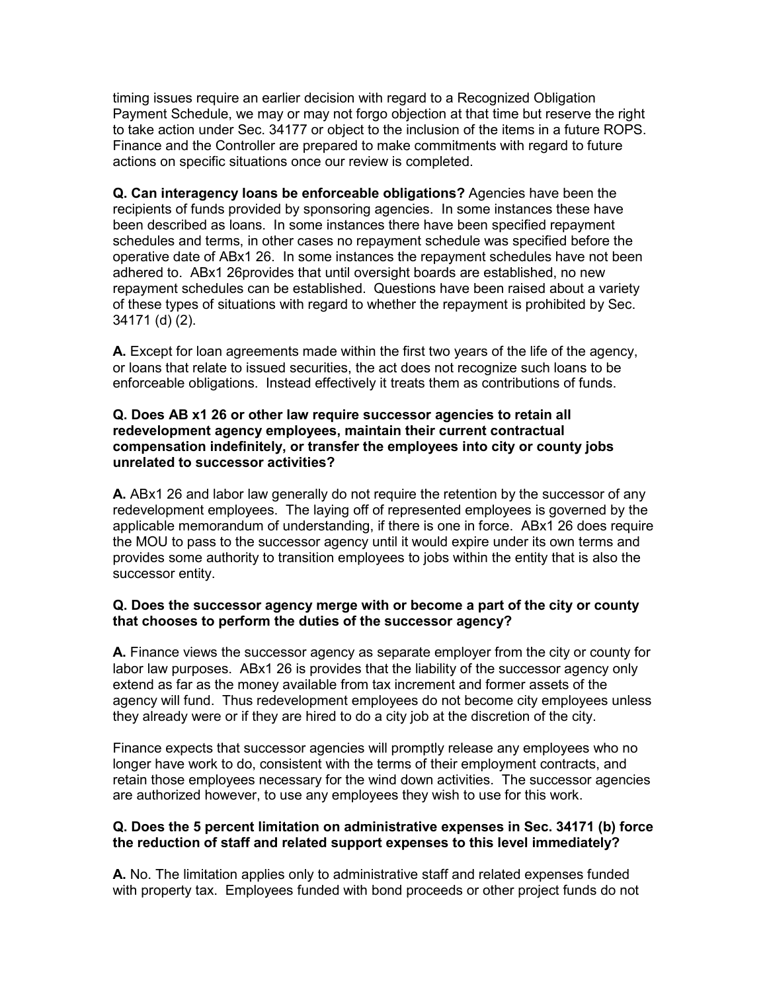timing issues require an earlier decision with regard to a Recognized Obligation Payment Schedule, we may or may not forgo objection at that time but reserve the right to take action under Sec. 34177 or object to the inclusion of the items in a future ROPS. Finance and the Controller are prepared to make commitments with regard to future actions on specific situations once our review is completed.

**Q. Can interagency loans be enforceable obligations?** Agencies have been the recipients of funds provided by sponsoring agencies. In some instances these have been described as loans. In some instances there have been specified repayment schedules and terms, in other cases no repayment schedule was specified before the operative date of ABx1 26. In some instances the repayment schedules have not been adhered to. ABx1 26provides that until oversight boards are established, no new repayment schedules can be established. Questions have been raised about a variety of these types of situations with regard to whether the repayment is prohibited by Sec. 34171 (d) (2).

**A.** Except for loan agreements made within the first two years of the life of the agency, or loans that relate to issued securities, the act does not recognize such loans to be enforceable obligations. Instead effectively it treats them as contributions of funds.

### **Q. Does AB x1 26 or other law require successor agencies to retain all redevelopment agency employees, maintain their current contractual compensation indefinitely, or transfer the employees into city or county jobs unrelated to successor activities?**

**A.** ABx1 26 and labor law generally do not require the retention by the successor of any redevelopment employees. The laying off of represented employees is governed by the applicable memorandum of understanding, if there is one in force. ABx1 26 does require the MOU to pass to the successor agency until it would expire under its own terms and provides some authority to transition employees to jobs within the entity that is also the successor entity.

## **Q. Does the successor agency merge with or become a part of the city or county that chooses to perform the duties of the successor agency?**

**A.** Finance views the successor agency as separate employer from the city or county for labor law purposes. ABx1 26 is provides that the liability of the successor agency only extend as far as the money available from tax increment and former assets of the agency will fund. Thus redevelopment employees do not become city employees unless they already were or if they are hired to do a city job at the discretion of the city.

Finance expects that successor agencies will promptly release any employees who no longer have work to do, consistent with the terms of their employment contracts, and retain those employees necessary for the wind down activities. The successor agencies are authorized however, to use any employees they wish to use for this work.

## **Q. Does the 5 percent limitation on administrative expenses in Sec. 34171 (b) force the reduction of staff and related support expenses to this level immediately?**

**A.** No. The limitation applies only to administrative staff and related expenses funded with property tax. Employees funded with bond proceeds or other project funds do not